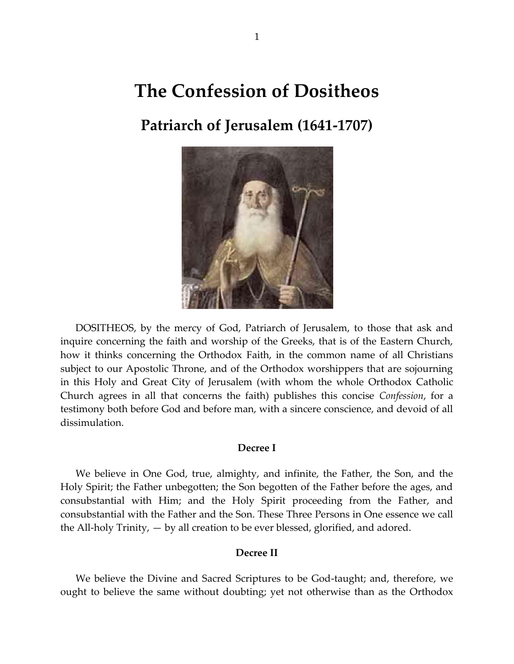# **The Confession of Dositheos**

# **Patriarch of Jerusalem (1641-1707)**



 DOSITHEOS, by the mercy of God, Patriarch of Jerusalem, to those that ask and inquire concerning the faith and worship of the Greeks, that is of the Eastern Church, how it thinks concerning the Orthodox Faith, in the common name of all Christians subject to our Apostolic Throne, and of the Orthodox worshippers that are sojourning in this Holy and Great City of Jerusalem (with whom the whole Orthodox Catholic Church agrees in all that concerns the faith) publishes this concise *Confession*, for a testimony both before God and before man, with a sincere conscience, and devoid of all dissimulation.

# **Decree I**

 We believe in One God, true, almighty, and infinite, the Father, the Son, and the Holy Spirit; the Father unbegotten; the Son begotten of the Father before the ages, and consubstantial with Him; and the Holy Spirit proceeding from the Father, and consubstantial with the Father and the Son. These Three Persons in One essence we call the All-holy Trinity, — by all creation to be ever blessed, glorified, and adored.

# **Decree II**

 We believe the Divine and Sacred Scriptures to be God-taught; and, therefore, we ought to believe the same without doubting; yet not otherwise than as the Orthodox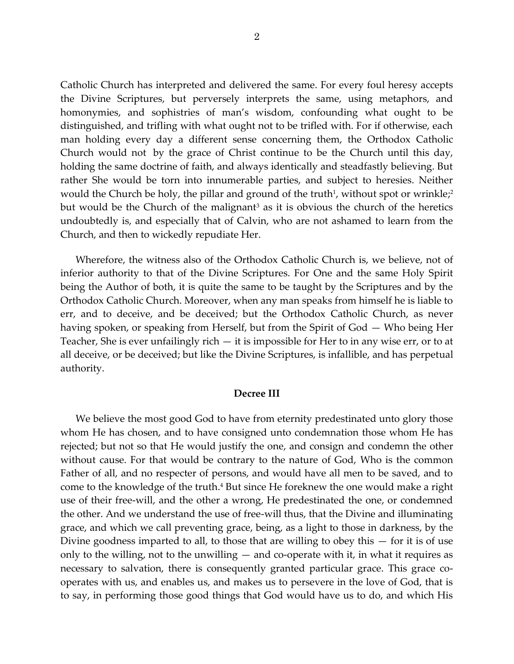Catholic Church has interpreted and delivered the same. For every foul heresy accepts the Divine Scriptures, but perversely interprets the same, using metaphors, and homonymies, and sophistries of man's wisdom, confounding what ought to be distinguished, and trifling with what ought not to be trifled with. For if otherwise, each man holding every day a different sense concerning them, the Orthodox Catholic Church would not by the grace of Christ continue to be the Church until this day, holding the same doctrine of faith, and always identically and steadfastly believing. But rather She would be torn into innumerable parties, and subject to heresies. Neither would the Church be holy, the pillar and ground of the truth<sup>1</sup>, without spot or wrinkle;<sup>2</sup> but would be the Church of the malignant<sup>3</sup> as it is obvious the church of the heretics undoubtedly is, and especially that of Calvin, who are not ashamed to learn from the Church, and then to wickedly repudiate Her.

 Wherefore, the witness also of the Orthodox Catholic Church is, we believe, not of inferior authority to that of the Divine Scriptures. For One and the same Holy Spirit being the Author of both, it is quite the same to be taught by the Scriptures and by the Orthodox Catholic Church. Moreover, when any man speaks from himself he is liable to err, and to deceive, and be deceived; but the Orthodox Catholic Church, as never having spoken, or speaking from Herself, but from the Spirit of God — Who being Her Teacher, She is ever unfailingly rich  $-$  it is impossible for Her to in any wise err, or to at all deceive, or be deceived; but like the Divine Scriptures, is infallible, and has perpetual authority.

#### **Decree III**

 We believe the most good God to have from eternity predestinated unto glory those whom He has chosen, and to have consigned unto condemnation those whom He has rejected; but not so that He would justify the one, and consign and condemn the other without cause. For that would be contrary to the nature of God, Who is the common Father of all, and no respecter of persons, and would have all men to be saved, and to come to the knowledge of the truth. <sup>4</sup> But since He foreknew the one would make a right use of their free-will, and the other a wrong, He predestinated the one, or condemned the other. And we understand the use of free-will thus, that the Divine and illuminating grace, and which we call preventing grace, being, as a light to those in darkness, by the Divine goodness imparted to all, to those that are willing to obey this  $-$  for it is of use only to the willing, not to the unwilling  $-$  and co-operate with it, in what it requires as necessary to salvation, there is consequently granted particular grace. This grace cooperates with us, and enables us, and makes us to persevere in the love of God, that is to say, in performing those good things that God would have us to do, and which His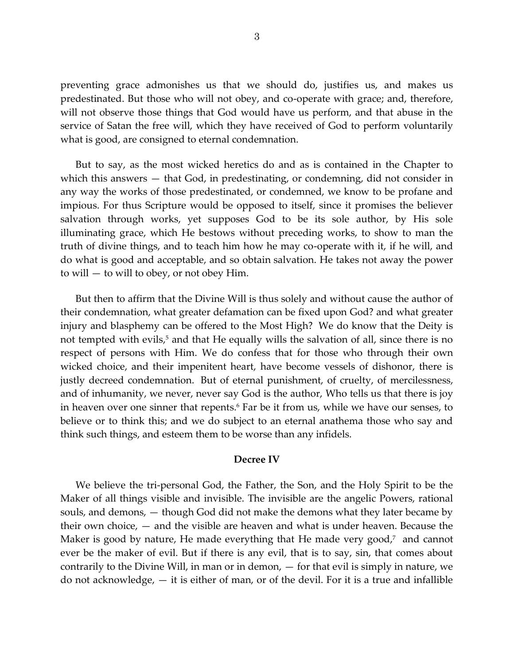preventing grace admonishes us that we should do, justifies us, and makes us predestinated. But those who will not obey, and co-operate with grace; and, therefore, will not observe those things that God would have us perform, and that abuse in the service of Satan the free will, which they have received of God to perform voluntarily what is good, are consigned to eternal condemnation.

 But to say, as the most wicked heretics do and as is contained in the Chapter to which this answers — that God, in predestinating, or condemning, did not consider in any way the works of those predestinated, or condemned, we know to be profane and impious. For thus Scripture would be opposed to itself, since it promises the believer salvation through works, yet supposes God to be its sole author, by His sole illuminating grace, which He bestows without preceding works, to show to man the truth of divine things, and to teach him how he may co-operate with it, if he will, and do what is good and acceptable, and so obtain salvation. He takes not away the power to will — to will to obey, or not obey Him.

 But then to affirm that the Divine Will is thus solely and without cause the author of their condemnation, what greater defamation can be fixed upon God? and what greater injury and blasphemy can be offered to the Most High? We do know that the Deity is not tempted with evils, <sup>5</sup> and that He equally wills the salvation of all, since there is no respect of persons with Him. We do confess that for those who through their own wicked choice, and their impenitent heart, have become vessels of dishonor, there is justly decreed condemnation. But of eternal punishment, of cruelty, of mercilessness, and of inhumanity, we never, never say God is the author, Who tells us that there is joy in heaven over one sinner that repents.<sup>6</sup> Far be it from us, while we have our senses, to believe or to think this; and we do subject to an eternal anathema those who say and think such things, and esteem them to be worse than any infidels.

#### **Decree IV**

 We believe the tri-personal God, the Father, the Son, and the Holy Spirit to be the Maker of all things visible and invisible. The invisible are the angelic Powers, rational souls, and demons, — though God did not make the demons what they later became by their own choice, — and the visible are heaven and what is under heaven. Because the Maker is good by nature, He made everything that He made very good, 7 and cannot ever be the maker of evil. But if there is any evil, that is to say, sin, that comes about contrarily to the Divine Will, in man or in demon, — for that evil is simply in nature, we do not acknowledge, — it is either of man, or of the devil. For it is a true and infallible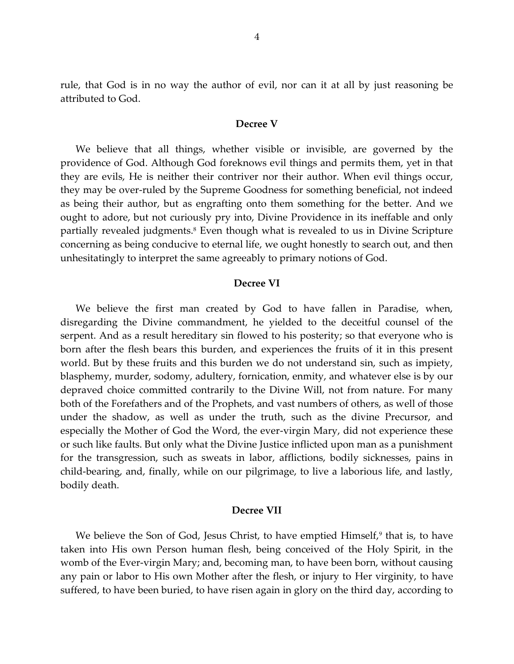rule, that God is in no way the author of evil, nor can it at all by just reasoning be attributed to God.

#### **Decree V**

 We believe that all things, whether visible or invisible, are governed by the providence of God. Although God foreknows evil things and permits them, yet in that they are evils, He is neither their contriver nor their author. When evil things occur, they may be over-ruled by the Supreme Goodness for something beneficial, not indeed as being their author, but as engrafting onto them something for the better. And we ought to adore, but not curiously pry into, Divine Providence in its ineffable and only partially revealed judgments.<sup>8</sup> Even though what is revealed to us in Divine Scripture concerning as being conducive to eternal life, we ought honestly to search out, and then unhesitatingly to interpret the same agreeably to primary notions of God.

#### **Decree VI**

 We believe the first man created by God to have fallen in Paradise, when, disregarding the Divine commandment, he yielded to the deceitful counsel of the serpent. And as a result hereditary sin flowed to his posterity; so that everyone who is born after the flesh bears this burden, and experiences the fruits of it in this present world. But by these fruits and this burden we do not understand sin, such as impiety, blasphemy, murder, sodomy, adultery, fornication, enmity, and whatever else is by our depraved choice committed contrarily to the Divine Will, not from nature. For many both of the Forefathers and of the Prophets, and vast numbers of others, as well of those under the shadow, as well as under the truth, such as the divine Precursor, and especially the Mother of God the Word, the ever-virgin Mary, did not experience these or such like faults. But only what the Divine Justice inflicted upon man as a punishment for the transgression, such as sweats in labor, afflictions, bodily sicknesses, pains in child-bearing, and, finally, while on our pilgrimage, to live a laborious life, and lastly, bodily death.

#### **Decree VII**

We believe the Son of God, Jesus Christ, to have emptied Himself,<sup>9</sup> that is, to have taken into His own Person human flesh, being conceived of the Holy Spirit, in the womb of the Ever-virgin Mary; and, becoming man, to have been born, without causing any pain or labor to His own Mother after the flesh, or injury to Her virginity, to have suffered, to have been buried, to have risen again in glory on the third day, according to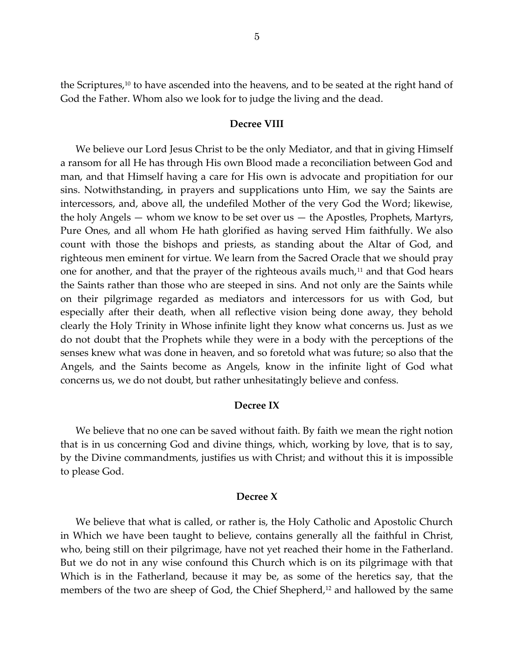the Scriptures,<sup>10</sup> to have ascended into the heavens, and to be seated at the right hand of God the Father. Whom also we look for to judge the living and the dead.

# **Decree VIII**

 We believe our Lord Jesus Christ to be the only Mediator, and that in giving Himself a ransom for all He has through His own Blood made a reconciliation between God and man, and that Himself having a care for His own is advocate and propitiation for our sins. Notwithstanding, in prayers and supplications unto Him, we say the Saints are intercessors, and, above all, the undefiled Mother of the very God the Word; likewise, the holy Angels — whom we know to be set over us — the Apostles, Prophets, Martyrs, Pure Ones, and all whom He hath glorified as having served Him faithfully. We also count with those the bishops and priests, as standing about the Altar of God, and righteous men eminent for virtue. We learn from the Sacred Oracle that we should pray one for another, and that the prayer of the righteous avails much,<sup>11</sup> and that God hears the Saints rather than those who are steeped in sins. And not only are the Saints while on their pilgrimage regarded as mediators and intercessors for us with God, but especially after their death, when all reflective vision being done away, they behold clearly the Holy Trinity in Whose infinite light they know what concerns us. Just as we do not doubt that the Prophets while they were in a body with the perceptions of the senses knew what was done in heaven, and so foretold what was future; so also that the Angels, and the Saints become as Angels, know in the infinite light of God what concerns us, we do not doubt, but rather unhesitatingly believe and confess.

# **Decree IX**

 We believe that no one can be saved without faith. By faith we mean the right notion that is in us concerning God and divine things, which, working by love, that is to say, by the Divine commandments, justifies us with Christ; and without this it is impossible to please God.

#### **Decree X**

 We believe that what is called, or rather is, the Holy Catholic and Apostolic Church in Which we have been taught to believe, contains generally all the faithful in Christ, who, being still on their pilgrimage, have not yet reached their home in the Fatherland. But we do not in any wise confound this Church which is on its pilgrimage with that Which is in the Fatherland, because it may be, as some of the heretics say, that the members of the two are sheep of God, the Chief Shepherd,<sup>12</sup> and hallowed by the same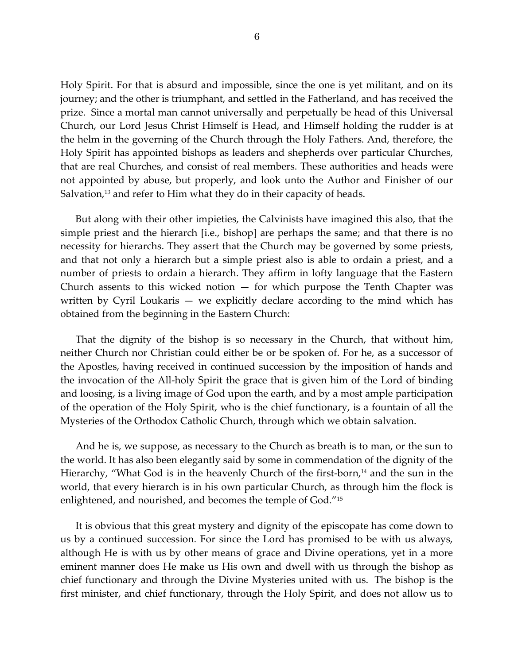Holy Spirit. For that is absurd and impossible, since the one is yet militant, and on its journey; and the other is triumphant, and settled in the Fatherland, and has received the prize. Since a mortal man cannot universally and perpetually be head of this Universal Church, our Lord Jesus Christ Himself is Head, and Himself holding the rudder is at the helm in the governing of the Church through the Holy Fathers. And, therefore, the Holy Spirit has appointed bishops as leaders and shepherds over particular Churches, that are real Churches, and consist of real members. These authorities and heads were not appointed by abuse, but properly, and look unto the Author and Finisher of our Salvation,<sup>13</sup> and refer to Him what they do in their capacity of heads.

 But along with their other impieties, the Calvinists have imagined this also, that the simple priest and the hierarch [i.e., bishop] are perhaps the same; and that there is no necessity for hierarchs. They assert that the Church may be governed by some priests, and that not only a hierarch but a simple priest also is able to ordain a priest, and a number of priests to ordain a hierarch. They affirm in lofty language that the Eastern Church assents to this wicked notion  $-$  for which purpose the Tenth Chapter was written by Cyril Loukaris — we explicitly declare according to the mind which has obtained from the beginning in the Eastern Church:

 That the dignity of the bishop is so necessary in the Church, that without him, neither Church nor Christian could either be or be spoken of. For he, as a successor of the Apostles, having received in continued succession by the imposition of hands and the invocation of the All-holy Spirit the grace that is given him of the Lord of binding and loosing, is a living image of God upon the earth, and by a most ample participation of the operation of the Holy Spirit, who is the chief functionary, is a fountain of all the Mysteries of the Orthodox Catholic Church, through which we obtain salvation.

 And he is, we suppose, as necessary to the Church as breath is to man, or the sun to the world. It has also been elegantly said by some in commendation of the dignity of the Hierarchy, "What God is in the heavenly Church of the first-born, $<sup>14</sup>$  and the sun in the</sup> world, that every hierarch is in his own particular Church, as through him the flock is enlightened, and nourished, and becomes the temple of God."<sup>15</sup>

 It is obvious that this great mystery and dignity of the episcopate has come down to us by a continued succession. For since the Lord has promised to be with us always, although He is with us by other means of grace and Divine operations, yet in a more eminent manner does He make us His own and dwell with us through the bishop as chief functionary and through the Divine Mysteries united with us. The bishop is the first minister, and chief functionary, through the Holy Spirit, and does not allow us to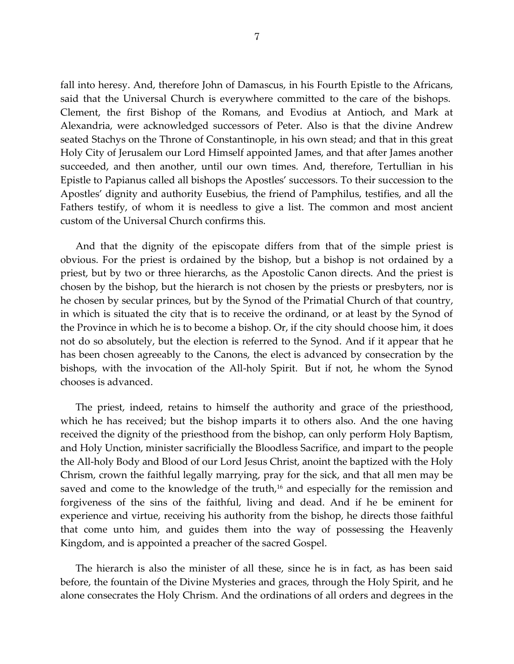fall into heresy. And, therefore John of Damascus, in his Fourth Epistle to the Africans, said that the Universal Church is everywhere committed to the care of the bishops. Clement, the first Bishop of the Romans, and Evodius at Antioch, and Mark at Alexandria, were acknowledged successors of Peter. Also is that the divine Andrew seated Stachys on the Throne of Constantinople, in his own stead; and that in this great Holy City of Jerusalem our Lord Himself appointed James, and that after James another succeeded, and then another, until our own times. And, therefore, Tertullian in his Epistle to Papianus called all bishops the Apostles' successors. To their succession to the Apostles' dignity and authority Eusebius, the friend of Pamphilus, testifies, and all the Fathers testify, of whom it is needless to give a list. The common and most ancient custom of the Universal Church confirms this.

 And that the dignity of the episcopate differs from that of the simple priest is obvious. For the priest is ordained by the bishop, but a bishop is not ordained by a priest, but by two or three hierarchs, as the Apostolic Canon directs. And the priest is chosen by the bishop, but the hierarch is not chosen by the priests or presbyters, nor is he chosen by secular princes, but by the Synod of the Primatial Church of that country, in which is situated the city that is to receive the ordinand, or at least by the Synod of the Province in which he is to become a bishop. Or, if the city should choose him, it does not do so absolutely, but the election is referred to the Synod. And if it appear that he has been chosen agreeably to the Canons, the elect is advanced by consecration by the bishops, with the invocation of the All-holy Spirit. But if not, he whom the Synod chooses is advanced.

 The priest, indeed, retains to himself the authority and grace of the priesthood, which he has received; but the bishop imparts it to others also. And the one having received the dignity of the priesthood from the bishop, can only perform Holy Baptism, and Holy Unction, minister sacrificially the Bloodless Sacrifice, and impart to the people the All-holy Body and Blood of our Lord Jesus Christ, anoint the baptized with the Holy Chrism, crown the faithful legally marrying, pray for the sick, and that all men may be saved and come to the knowledge of the truth,<sup>16</sup> and especially for the remission and forgiveness of the sins of the faithful, living and dead. And if he be eminent for experience and virtue, receiving his authority from the bishop, he directs those faithful that come unto him, and guides them into the way of possessing the Heavenly Kingdom, and is appointed a preacher of the sacred Gospel.

 The hierarch is also the minister of all these, since he is in fact, as has been said before, the fountain of the Divine Mysteries and graces, through the Holy Spirit, and he alone consecrates the Holy Chrism. And the ordinations of all orders and degrees in the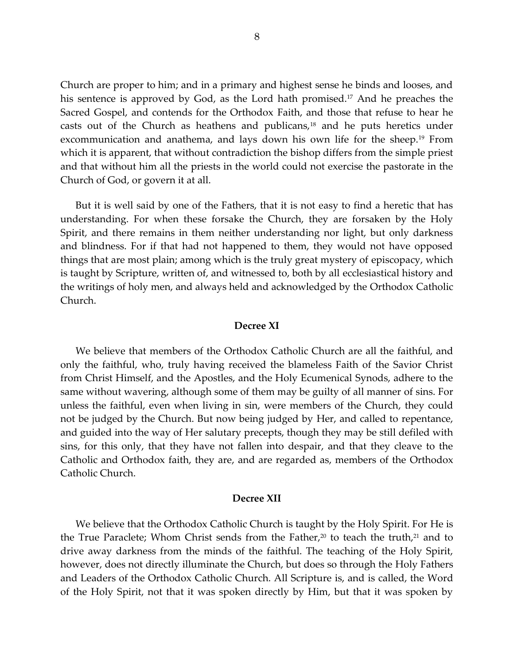Church are proper to him; and in a primary and highest sense he binds and looses, and his sentence is approved by God, as the Lord hath promised.<sup>17</sup> And he preaches the Sacred Gospel, and contends for the Orthodox Faith, and those that refuse to hear he casts out of the Church as heathens and publicans, $18$  and he puts heretics under excommunication and anathema, and lays down his own life for the sheep.<sup>19</sup> From which it is apparent, that without contradiction the bishop differs from the simple priest and that without him all the priests in the world could not exercise the pastorate in the Church of God, or govern it at all.

 But it is well said by one of the Fathers, that it is not easy to find a heretic that has understanding. For when these forsake the Church, they are forsaken by the Holy Spirit, and there remains in them neither understanding nor light, but only darkness and blindness. For if that had not happened to them, they would not have opposed things that are most plain; among which is the truly great mystery of episcopacy, which is taught by Scripture, written of, and witnessed to, both by all ecclesiastical history and the writings of holy men, and always held and acknowledged by the Orthodox Catholic Church.

#### **Decree XI**

 We believe that members of the Orthodox Catholic Church are all the faithful, and only the faithful, who, truly having received the blameless Faith of the Savior Christ from Christ Himself, and the Apostles, and the Holy Ecumenical Synods, adhere to the same without wavering, although some of them may be guilty of all manner of sins. For unless the faithful, even when living in sin, were members of the Church, they could not be judged by the Church. But now being judged by Her, and called to repentance, and guided into the way of Her salutary precepts, though they may be still defiled with sins, for this only, that they have not fallen into despair, and that they cleave to the Catholic and Orthodox faith, they are, and are regarded as, members of the Orthodox Catholic Church.

#### **Decree XII**

 We believe that the Orthodox Catholic Church is taught by the Holy Spirit. For He is the True Paraclete; Whom Christ sends from the Father,<sup>20</sup> to teach the truth,<sup>21</sup> and to drive away darkness from the minds of the faithful. The teaching of the Holy Spirit, however, does not directly illuminate the Church, but does so through the Holy Fathers and Leaders of the Orthodox Catholic Church. All Scripture is, and is called, the Word of the Holy Spirit, not that it was spoken directly by Him, but that it was spoken by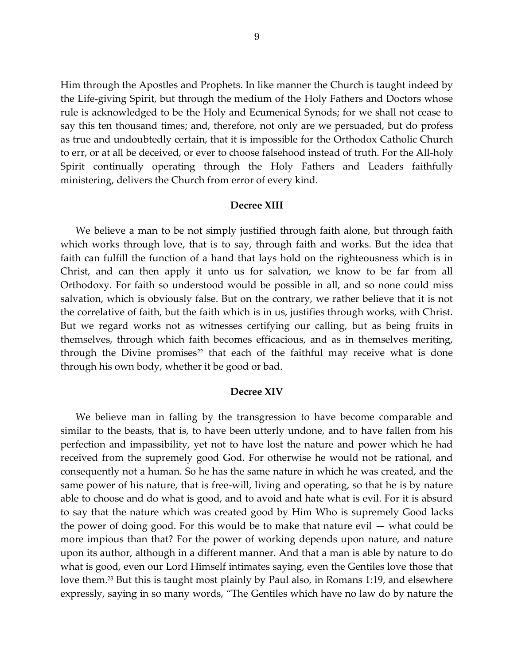Him through the Apostles and Prophets. In like manner the Church is taught indeed by the Life-giving Spirit, but through the medium of the Holy Fathers and Doctors whose rule is acknowledged to be the Holy and Ecumenical Synods; for we shall not cease to say this ten thousand times; and, therefore, not only are we persuaded, but do profess as true and undoubtedly certain, that it is impossible for the Orthodox Catholic Church to err, or at all be deceived, or ever to choose falsehood instead of truth. For the All-holy Spirit continually operating through the Holy Fathers and Leaders faithfully ministering, delivers the Church from error of every kind.

#### **Decree XIII**

 We believe a man to be not simply justified through faith alone, but through faith which works through love, that is to say, through faith and works. But the idea that faith can fulfill the function of a hand that lays hold on the righteousness which is in Christ, and can then apply it unto us for salvation, we know to be far from all Orthodoxy. For faith so understood would be possible in all, and so none could miss salvation, which is obviously false. But on the contrary, we rather believe that it is not the correlative of faith, but the faith which is in us, justifies through works, with Christ. But we regard works not as witnesses certifying our calling, but as being fruits in themselves, through which faith becomes efficacious, and as in themselves meriting, through the Divine promises<sup>22</sup> that each of the faithful may receive what is done through his own body, whether it be good or bad.

# **Decree XIV**

 We believe man in falling by the transgression to have become comparable and similar to the beasts, that is, to have been utterly undone, and to have fallen from his perfection and impassibility, yet not to have lost the nature and power which he had received from the supremely good God. For otherwise he would not be rational, and consequently not a human. So he has the same nature in which he was created, and the same power of his nature, that is free-will, living and operating, so that he is by nature able to choose and do what is good, and to avoid and hate what is evil. For it is absurd to say that the nature which was created good by Him Who is supremely Good lacks the power of doing good. For this would be to make that nature  $\text{eval}$  — what could be more impious than that? For the power of working depends upon nature, and nature upon its author, although in a different manner. And that a man is able by nature to do what is good, even our Lord Himself intimates saying, even the Gentiles love those that love them.<sup>23</sup> But this is taught most plainly by Paul also, in Romans 1:19, and elsewhere expressly, saying in so many words, "The Gentiles which have no law do by nature the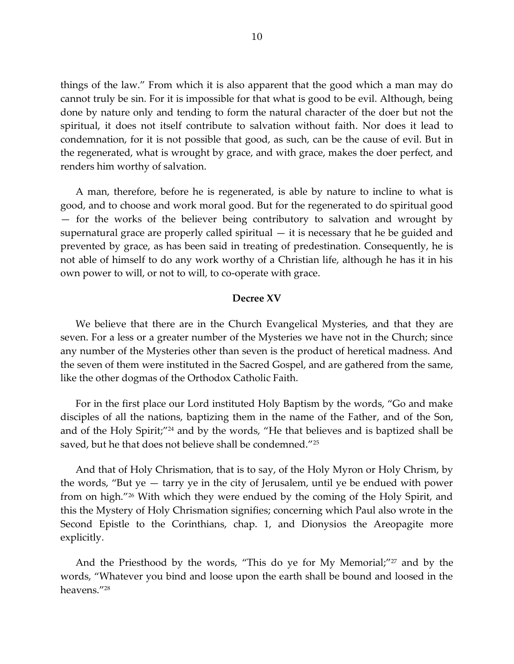things of the law." From which it is also apparent that the good which a man may do cannot truly be sin. For it is impossible for that what is good to be evil. Although, being done by nature only and tending to form the natural character of the doer but not the spiritual, it does not itself contribute to salvation without faith. Nor does it lead to condemnation, for it is not possible that good, as such, can be the cause of evil. But in the regenerated, what is wrought by grace, and with grace, makes the doer perfect, and renders him worthy of salvation.

 A man, therefore, before he is regenerated, is able by nature to incline to what is good, and to choose and work moral good. But for the regenerated to do spiritual good — for the works of the believer being contributory to salvation and wrought by supernatural grace are properly called spiritual  $-$  it is necessary that he be guided and prevented by grace, as has been said in treating of predestination. Consequently, he is not able of himself to do any work worthy of a Christian life, although he has it in his own power to will, or not to will, to co-operate with grace.

### **Decree XV**

 We believe that there are in the Church Evangelical Mysteries, and that they are seven. For a less or a greater number of the Mysteries we have not in the Church; since any number of the Mysteries other than seven is the product of heretical madness. And the seven of them were instituted in the Sacred Gospel, and are gathered from the same, like the other dogmas of the Orthodox Catholic Faith.

 For in the first place our Lord instituted Holy Baptism by the words, "Go and make disciples of all the nations, baptizing them in the name of the Father, and of the Son, and of the Holy Spirit;"<sup>24</sup> and by the words, "He that believes and is baptized shall be saved, but he that does not believe shall be condemned."<sup>25</sup>

 And that of Holy Chrismation, that is to say, of the Holy Myron or Holy Chrism, by the words, "But ye — tarry ye in the city of Jerusalem, until ye be endued with power from on high."<sup>26</sup> With which they were endued by the coming of the Holy Spirit, and this the Mystery of Holy Chrismation signifies; concerning which Paul also wrote in the Second Epistle to the Corinthians, chap. 1, and Dionysios the Areopagite more explicitly.

And the Priesthood by the words, "This do ye for My Memorial;" $27$  and by the words, "Whatever you bind and loose upon the earth shall be bound and loosed in the heavens."28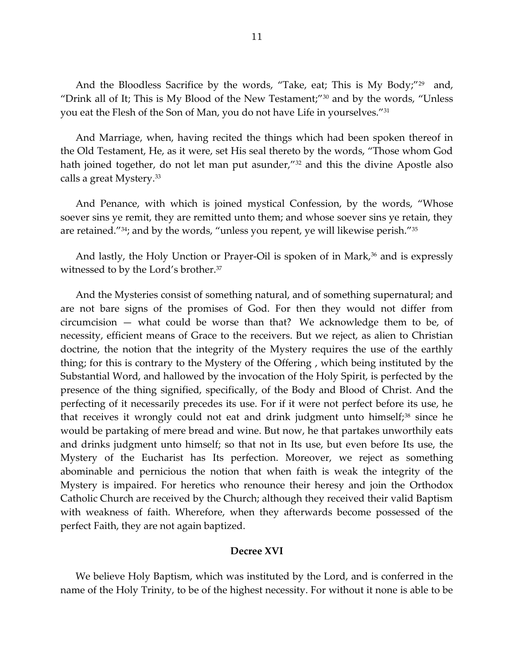And the Bloodless Sacrifice by the words, "Take, eat; This is My Body;"<sup>29</sup> and, "Drink all of It; This is My Blood of the New Testament;"<sup>30</sup> and by the words, "Unless you eat the Flesh of the Son of Man, you do not have Life in yourselves."<sup>31</sup>

 And Marriage, when, having recited the things which had been spoken thereof in the Old Testament, He, as it were, set His seal thereto by the words, "Those whom God hath joined together, do not let man put asunder,"<sup>32</sup> and this the divine Apostle also calls a great Mystery.<sup>33</sup>

 And Penance, with which is joined mystical Confession, by the words, "Whose soever sins ye remit, they are remitted unto them; and whose soever sins ye retain, they are retained." $34$ ; and by the words, "unless you repent, ye will likewise perish." $35$ 

And lastly, the Holy Unction or Prayer-Oil is spoken of in Mark,<sup>36</sup> and is expressly witnessed to by the Lord's brother.<sup>37</sup>

 And the Mysteries consist of something natural, and of something supernatural; and are not bare signs of the promises of God. For then they would not differ from circumcision — what could be worse than that? We acknowledge them to be, of necessity, efficient means of Grace to the receivers. But we reject, as alien to Christian doctrine, the notion that the integrity of the Mystery requires the use of the earthly thing; for this is contrary to the Mystery of the Offering , which being instituted by the Substantial Word, and hallowed by the invocation of the Holy Spirit, is perfected by the presence of the thing signified, specifically, of the Body and Blood of Christ. And the perfecting of it necessarily precedes its use. For if it were not perfect before its use, he that receives it wrongly could not eat and drink judgment unto himself;<sup>38</sup> since he would be partaking of mere bread and wine. But now, he that partakes unworthily eats and drinks judgment unto himself; so that not in Its use, but even before Its use, the Mystery of the Eucharist has Its perfection. Moreover, we reject as something abominable and pernicious the notion that when faith is weak the integrity of the Mystery is impaired. For heretics who renounce their heresy and join the Orthodox Catholic Church are received by the Church; although they received their valid Baptism with weakness of faith. Wherefore, when they afterwards become possessed of the perfect Faith, they are not again baptized.

#### **Decree XVI**

 We believe Holy Baptism, which was instituted by the Lord, and is conferred in the name of the Holy Trinity, to be of the highest necessity. For without it none is able to be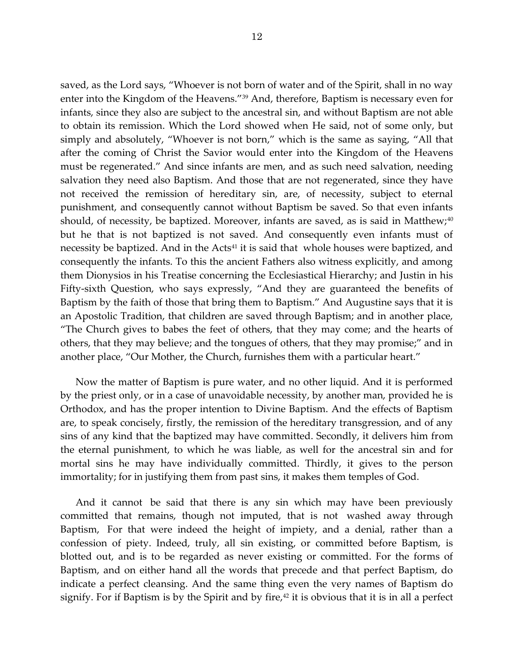saved, as the Lord says, "Whoever is not born of water and of the Spirit, shall in no way enter into the Kingdom of the Heavens."<sup>39</sup> And, therefore, Baptism is necessary even for infants, since they also are subject to the ancestral sin, and without Baptism are not able to obtain its remission. Which the Lord showed when He said, not of some only, but simply and absolutely, "Whoever is not born," which is the same as saying, "All that after the coming of Christ the Savior would enter into the Kingdom of the Heavens must be regenerated." And since infants are men, and as such need salvation, needing salvation they need also Baptism. And those that are not regenerated, since they have not received the remission of hereditary sin, are, of necessity, subject to eternal punishment, and consequently cannot without Baptism be saved. So that even infants should, of necessity, be baptized. Moreover, infants are saved, as is said in Matthew; $40$ but he that is not baptized is not saved. And consequently even infants must of necessity be baptized. And in the Acts<sup>41</sup> it is said that whole houses were baptized, and consequently the infants. To this the ancient Fathers also witness explicitly, and among them Dionysios in his Treatise concerning the Ecclesiastical Hierarchy; and Justin in his Fifty-sixth Question, who says expressly, "And they are guaranteed the benefits of Baptism by the faith of those that bring them to Baptism." And Augustine says that it is an Apostolic Tradition, that children are saved through Baptism; and in another place, "The Church gives to babes the feet of others, that they may come; and the hearts of others, that they may believe; and the tongues of others, that they may promise;" and in another place, "Our Mother, the Church, furnishes them with a particular heart."

 Now the matter of Baptism is pure water, and no other liquid. And it is performed by the priest only, or in a case of unavoidable necessity, by another man, provided he is Orthodox, and has the proper intention to Divine Baptism. And the effects of Baptism are, to speak concisely, firstly, the remission of the hereditary transgression, and of any sins of any kind that the baptized may have committed. Secondly, it delivers him from the eternal punishment, to which he was liable, as well for the ancestral sin and for mortal sins he may have individually committed. Thirdly, it gives to the person immortality; for in justifying them from past sins, it makes them temples of God.

 And it cannot be said that there is any sin which may have been previously committed that remains, though not imputed, that is not washed away through Baptism, For that were indeed the height of impiety, and a denial, rather than a confession of piety. Indeed, truly, all sin existing, or committed before Baptism, is blotted out, and is to be regarded as never existing or committed. For the forms of Baptism, and on either hand all the words that precede and that perfect Baptism, do indicate a perfect cleansing. And the same thing even the very names of Baptism do signify. For if Baptism is by the Spirit and by fire, $42$  it is obvious that it is in all a perfect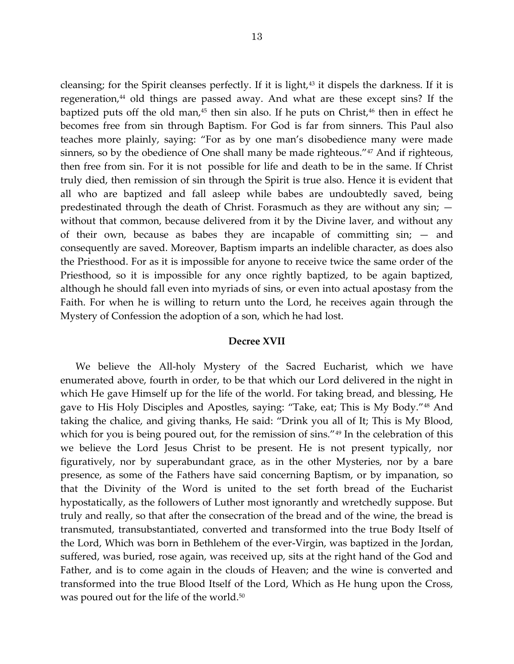cleansing; for the Spirit cleanses perfectly. If it is light, $43$  it dispels the darkness. If it is regeneration,<sup>44</sup> old things are passed away. And what are these except sins? If the baptized puts off the old man, $45$  then sin also. If he puts on Christ, $46$  then in effect he becomes free from sin through Baptism. For God is far from sinners. This Paul also teaches more plainly, saying: "For as by one man's disobedience many were made sinners, so by the obedience of One shall many be made righteous."<sup>47</sup> And if righteous, then free from sin. For it is not possible for life and death to be in the same. If Christ truly died, then remission of sin through the Spirit is true also. Hence it is evident that all who are baptized and fall asleep while babes are undoubtedly saved, being predestinated through the death of Christ. Forasmuch as they are without any sin; without that common, because delivered from it by the Divine laver, and without any of their own, because as babes they are incapable of committing sin; — and consequently are saved. Moreover, Baptism imparts an indelible character, as does also the Priesthood. For as it is impossible for anyone to receive twice the same order of the Priesthood, so it is impossible for any once rightly baptized, to be again baptized, although he should fall even into myriads of sins, or even into actual apostasy from the Faith. For when he is willing to return unto the Lord, he receives again through the Mystery of Confession the adoption of a son, which he had lost.

# **Decree XVII**

 We believe the All-holy Mystery of the Sacred Eucharist, which we have enumerated above, fourth in order, to be that which our Lord delivered in the night in which He gave Himself up for the life of the world. For taking bread, and blessing, He gave to His Holy Disciples and Apostles, saying: "Take, eat; This is My Body."<sup>48</sup> And taking the chalice, and giving thanks, He said: "Drink you all of It; This is My Blood, which for you is being poured out, for the remission of sins."<sup>49</sup> In the celebration of this we believe the Lord Jesus Christ to be present. He is not present typically, nor figuratively, nor by superabundant grace, as in the other Mysteries, nor by a bare presence, as some of the Fathers have said concerning Baptism, or by impanation, so that the Divinity of the Word is united to the set forth bread of the Eucharist hypostatically, as the followers of Luther most ignorantly and wretchedly suppose. But truly and really, so that after the consecration of the bread and of the wine, the bread is transmuted, transubstantiated, converted and transformed into the true Body Itself of the Lord, Which was born in Bethlehem of the ever-Virgin, was baptized in the Jordan, suffered, was buried, rose again, was received up, sits at the right hand of the God and Father, and is to come again in the clouds of Heaven; and the wine is converted and transformed into the true Blood Itself of the Lord, Which as He hung upon the Cross, was poured out for the life of the world.<sup>50</sup>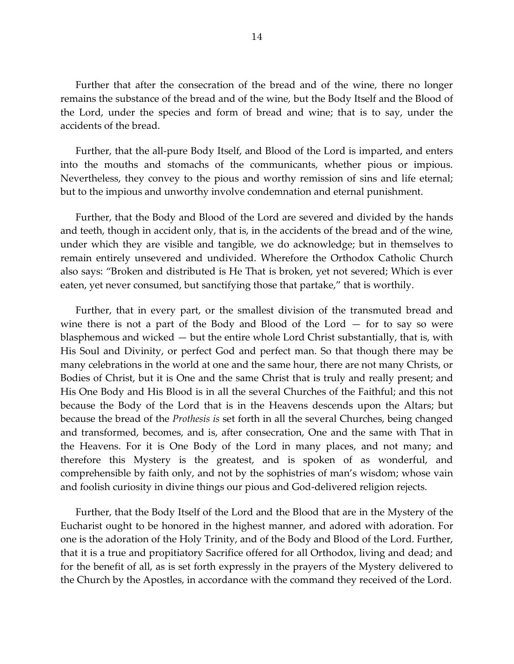Further that after the consecration of the bread and of the wine, there no longer remains the substance of the bread and of the wine, but the Body Itself and the Blood of the Lord, under the species and form of bread and wine; that is to say, under the accidents of the bread.

 Further, that the all-pure Body Itself, and Blood of the Lord is imparted, and enters into the mouths and stomachs of the communicants, whether pious or impious. Nevertheless, they convey to the pious and worthy remission of sins and life eternal; but to the impious and unworthy involve condemnation and eternal punishment.

 Further, that the Body and Blood of the Lord are severed and divided by the hands and teeth, though in accident only, that is, in the accidents of the bread and of the wine, under which they are visible and tangible, we do acknowledge; but in themselves to remain entirely unsevered and undivided. Wherefore the Orthodox Catholic Church also says: "Broken and distributed is He That is broken, yet not severed; Which is ever eaten, yet never consumed, but sanctifying those that partake," that is worthily.

 Further, that in every part, or the smallest division of the transmuted bread and wine there is not a part of the Body and Blood of the Lord  $-$  for to say so were blasphemous and wicked — but the entire whole Lord Christ substantially, that is, with His Soul and Divinity, or perfect God and perfect man. So that though there may be many celebrations in the world at one and the same hour, there are not many Christs, or Bodies of Christ, but it is One and the same Christ that is truly and really present; and His One Body and His Blood is in all the several Churches of the Faithful; and this not because the Body of the Lord that is in the Heavens descends upon the Altars; but because the bread of the *Prothesis is* set forth in all the several Churches, being changed and transformed, becomes, and is, after consecration, One and the same with That in the Heavens. For it is One Body of the Lord in many places, and not many; and therefore this Mystery is the greatest, and is spoken of as wonderful, and comprehensible by faith only, and not by the sophistries of man's wisdom; whose vain and foolish curiosity in divine things our pious and God-delivered religion rejects.

 Further, that the Body Itself of the Lord and the Blood that are in the Mystery of the Eucharist ought to be honored in the highest manner, and adored with adoration. For one is the adoration of the Holy Trinity, and of the Body and Blood of the Lord. Further, that it is a true and propitiatory Sacrifice offered for all Orthodox, living and dead; and for the benefit of all, as is set forth expressly in the prayers of the Mystery delivered to the Church by the Apostles, in accordance with the command they received of the Lord.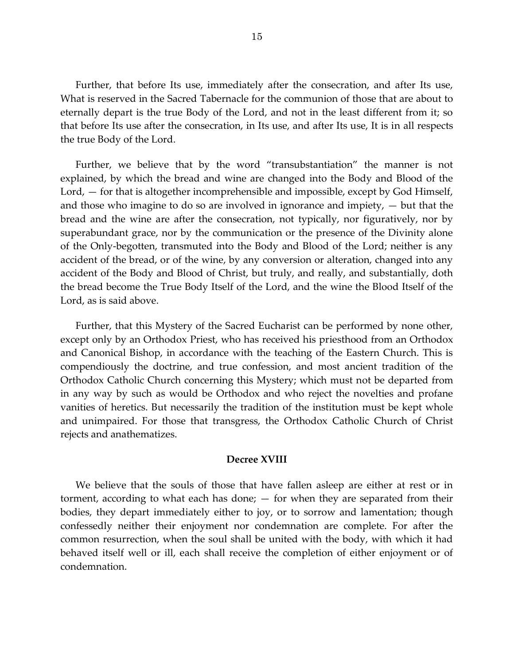Further, that before Its use, immediately after the consecration, and after Its use, What is reserved in the Sacred Tabernacle for the communion of those that are about to eternally depart is the true Body of the Lord, and not in the least different from it; so that before Its use after the consecration, in Its use, and after Its use, It is in all respects the true Body of the Lord.

 Further, we believe that by the word "transubstantiation" the manner is not explained, by which the bread and wine are changed into the Body and Blood of the Lord, — for that is altogether incomprehensible and impossible, except by God Himself, and those who imagine to do so are involved in ignorance and impiety, — but that the bread and the wine are after the consecration, not typically, nor figuratively, nor by superabundant grace, nor by the communication or the presence of the Divinity alone of the Only-begotten, transmuted into the Body and Blood of the Lord; neither is any accident of the bread, or of the wine, by any conversion or alteration, changed into any accident of the Body and Blood of Christ, but truly, and really, and substantially, doth the bread become the True Body Itself of the Lord, and the wine the Blood Itself of the Lord, as is said above.

 Further, that this Mystery of the Sacred Eucharist can be performed by none other, except only by an Orthodox Priest, who has received his priesthood from an Orthodox and Canonical Bishop, in accordance with the teaching of the Eastern Church. This is compendiously the doctrine, and true confession, and most ancient tradition of the Orthodox Catholic Church concerning this Mystery; which must not be departed from in any way by such as would be Orthodox and who reject the novelties and profane vanities of heretics. But necessarily the tradition of the institution must be kept whole and unimpaired. For those that transgress, the Orthodox Catholic Church of Christ rejects and anathematizes.

#### **Decree XVIII**

 We believe that the souls of those that have fallen asleep are either at rest or in torment, according to what each has done; — for when they are separated from their bodies, they depart immediately either to joy, or to sorrow and lamentation; though confessedly neither their enjoyment nor condemnation are complete. For after the common resurrection, when the soul shall be united with the body, with which it had behaved itself well or ill, each shall receive the completion of either enjoyment or of condemnation.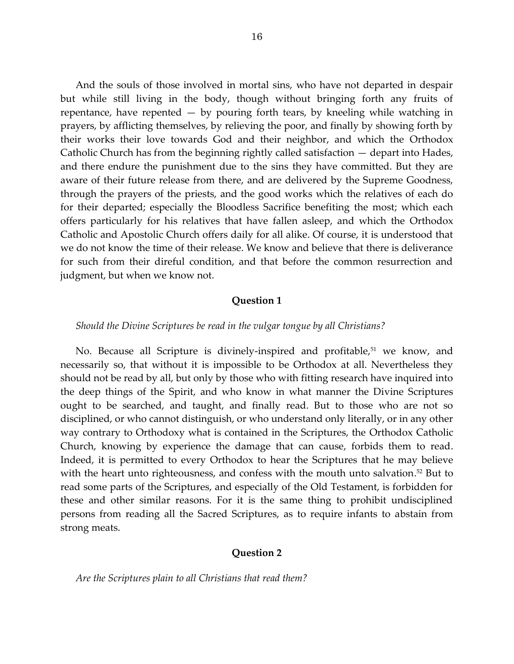And the souls of those involved in mortal sins, who have not departed in despair but while still living in the body, though without bringing forth any fruits of repentance, have repented — by pouring forth tears, by kneeling while watching in prayers, by afflicting themselves, by relieving the poor, and finally by showing forth by their works their love towards God and their neighbor, and which the Orthodox Catholic Church has from the beginning rightly called satisfaction — depart into Hades, and there endure the punishment due to the sins they have committed. But they are aware of their future release from there, and are delivered by the Supreme Goodness, through the prayers of the priests, and the good works which the relatives of each do for their departed; especially the Bloodless Sacrifice benefiting the most; which each offers particularly for his relatives that have fallen asleep, and which the Orthodox Catholic and Apostolic Church offers daily for all alike. Of course, it is understood that we do not know the time of their release. We know and believe that there is deliverance for such from their direful condition, and that before the common resurrection and judgment, but when we know not.

#### **Question 1**

#### *Should the Divine Scriptures be read in the vulgar tongue by all Christians?*

No. Because all Scripture is divinely-inspired and profitable,<sup>51</sup> we know, and necessarily so, that without it is impossible to be Orthodox at all. Nevertheless they should not be read by all, but only by those who with fitting research have inquired into the deep things of the Spirit, and who know in what manner the Divine Scriptures ought to be searched, and taught, and finally read. But to those who are not so disciplined, or who cannot distinguish, or who understand only literally, or in any other way contrary to Orthodoxy what is contained in the Scriptures, the Orthodox Catholic Church, knowing by experience the damage that can cause, forbids them to read. Indeed, it is permitted to every Orthodox to hear the Scriptures that he may believe with the heart unto righteousness, and confess with the mouth unto salvation.<sup>52</sup> But to read some parts of the Scriptures, and especially of the Old Testament, is forbidden for these and other similar reasons. For it is the same thing to prohibit undisciplined persons from reading all the Sacred Scriptures, as to require infants to abstain from strong meats.

# **Question 2**

 *Are the Scriptures plain to all Christians that read them?*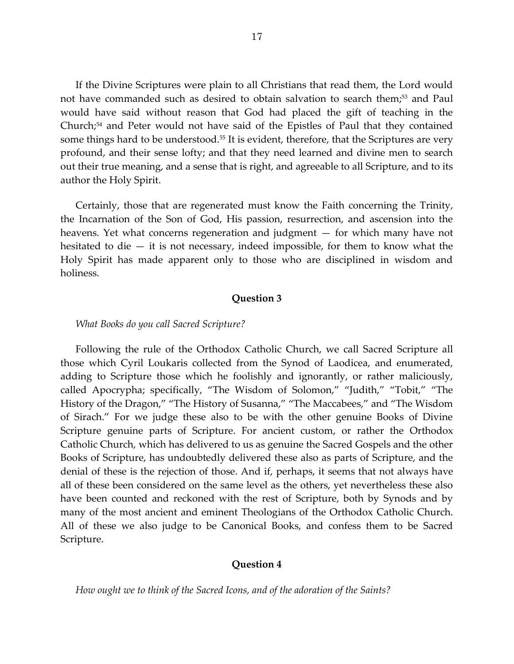If the Divine Scriptures were plain to all Christians that read them, the Lord would not have commanded such as desired to obtain salvation to search them;<sup>53</sup> and Paul would have said without reason that God had placed the gift of teaching in the Church; <sup>54</sup> and Peter would not have said of the Epistles of Paul that they contained some things hard to be understood.<sup>55</sup> It is evident, therefore, that the Scriptures are very profound, and their sense lofty; and that they need learned and divine men to search out their true meaning, and a sense that is right, and agreeable to all Scripture, and to its author the Holy Spirit.

 Certainly, those that are regenerated must know the Faith concerning the Trinity, the Incarnation of the Son of God, His passion, resurrection, and ascension into the heavens. Yet what concerns regeneration and judgment — for which many have not hesitated to die — it is not necessary, indeed impossible, for them to know what the Holy Spirit has made apparent only to those who are disciplined in wisdom and holiness.

#### **Question 3**

#### *What Books do you call Sacred Scripture?*

 Following the rule of the Orthodox Catholic Church, we call Sacred Scripture all those which Cyril Loukaris collected from the Synod of Laodicea, and enumerated, adding to Scripture those which he foolishly and ignorantly, or rather maliciously, called Apocrypha; specifically, "The Wisdom of Solomon," "Judith," "Tobit," "The History of the Dragon," "The History of Susanna," "The Maccabees," and "The Wisdom of Sirach." For we judge these also to be with the other genuine Books of Divine Scripture genuine parts of Scripture. For ancient custom, or rather the Orthodox Catholic Church, which has delivered to us as genuine the Sacred Gospels and the other Books of Scripture, has undoubtedly delivered these also as parts of Scripture, and the denial of these is the rejection of those. And if, perhaps, it seems that not always have all of these been considered on the same level as the others, yet nevertheless these also have been counted and reckoned with the rest of Scripture, both by Synods and by many of the most ancient and eminent Theologians of the Orthodox Catholic Church. All of these we also judge to be Canonical Books, and confess them to be Sacred Scripture.

# **Question 4**

 *How ought we to think of the Sacred Icons, and of the adoration of the Saints?*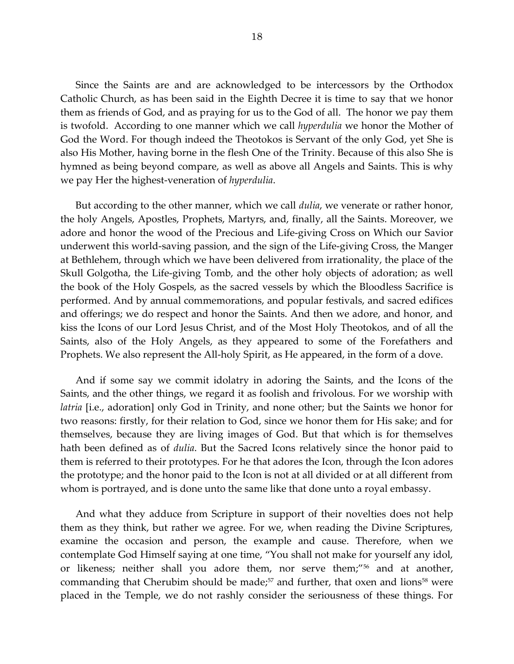Since the Saints are and are acknowledged to be intercessors by the Orthodox Catholic Church, as has been said in the Eighth Decree it is time to say that we honor them as friends of God, and as praying for us to the God of all. The honor we pay them is twofold. According to one manner which we call *hyperdulia* we honor the Mother of God the Word. For though indeed the Theotokos is Servant of the only God, yet She is also His Mother, having borne in the flesh One of the Trinity. Because of this also She is hymned as being beyond compare, as well as above all Angels and Saints. This is why we pay Her the highest-veneration of *hyperdulia*.

 But according to the other manner, which we call *dulia*, we venerate or rather honor, the holy Angels, Apostles, Prophets, Martyrs, and, finally, all the Saints. Moreover, we adore and honor the wood of the Precious and Life-giving Cross on Which our Savior underwent this world-saving passion, and the sign of the Life-giving Cross, the Manger at Bethlehem, through which we have been delivered from irrationality, the place of the Skull Golgotha, the Life-giving Tomb, and the other holy objects of adoration; as well the book of the Holy Gospels, as the sacred vessels by which the Bloodless Sacrifice is performed. And by annual commemorations, and popular festivals, and sacred edifices and offerings; we do respect and honor the Saints. And then we adore, and honor, and kiss the Icons of our Lord Jesus Christ, and of the Most Holy Theotokos, and of all the Saints, also of the Holy Angels, as they appeared to some of the Forefathers and Prophets. We also represent the All-holy Spirit, as He appeared, in the form of a dove.

 And if some say we commit idolatry in adoring the Saints, and the Icons of the Saints, and the other things, we regard it as foolish and frivolous. For we worship with *latria* [i.e., adoration] only God in Trinity, and none other; but the Saints we honor for two reasons: firstly, for their relation to God, since we honor them for His sake; and for themselves, because they are living images of God. But that which is for themselves hath been defined as of *dulia*. But the Sacred Icons relatively since the honor paid to them is referred to their prototypes. For he that adores the Icon, through the Icon adores the prototype; and the honor paid to the Icon is not at all divided or at all different from whom is portrayed, and is done unto the same like that done unto a royal embassy.

 And what they adduce from Scripture in support of their novelties does not help them as they think, but rather we agree. For we, when reading the Divine Scriptures, examine the occasion and person, the example and cause. Therefore, when we contemplate God Himself saying at one time, "You shall not make for yourself any idol, or likeness; neither shall you adore them, nor serve them;"<sup>56</sup> and at another, commanding that Cherubim should be made; $57$  and further, that oxen and lions $58$  were placed in the Temple, we do not rashly consider the seriousness of these things. For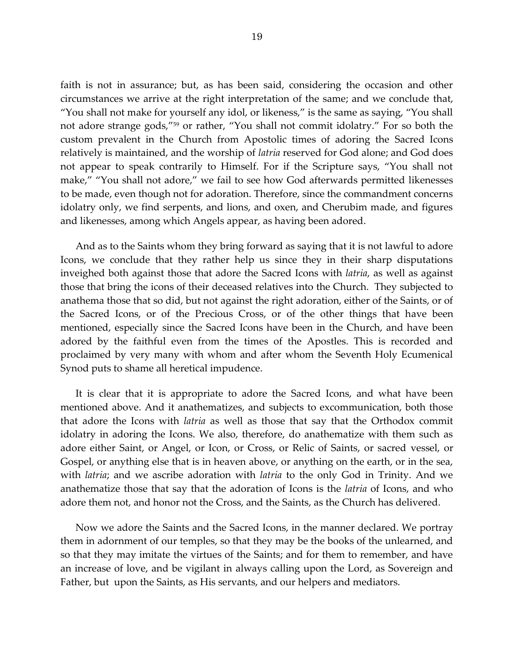faith is not in assurance; but, as has been said, considering the occasion and other circumstances we arrive at the right interpretation of the same; and we conclude that, "You shall not make for yourself any idol, or likeness," is the same as saying, "You shall not adore strange gods,"<sup>59</sup> or rather, "You shall not commit idolatry." For so both the custom prevalent in the Church from Apostolic times of adoring the Sacred Icons relatively is maintained, and the worship of *latria* reserved for God alone; and God does not appear to speak contrarily to Himself. For if the Scripture says, "You shall not make," "You shall not adore," we fail to see how God afterwards permitted likenesses to be made, even though not for adoration. Therefore, since the commandment concerns idolatry only, we find serpents, and lions, and oxen, and Cherubim made, and figures and likenesses, among which Angels appear, as having been adored.

 And as to the Saints whom they bring forward as saying that it is not lawful to adore Icons, we conclude that they rather help us since they in their sharp disputations inveighed both against those that adore the Sacred Icons with *latria*, as well as against those that bring the icons of their deceased relatives into the Church. They subjected to anathema those that so did, but not against the right adoration, either of the Saints, or of the Sacred Icons, or of the Precious Cross, or of the other things that have been mentioned, especially since the Sacred Icons have been in the Church, and have been adored by the faithful even from the times of the Apostles. This is recorded and proclaimed by very many with whom and after whom the Seventh Holy Ecumenical Synod puts to shame all heretical impudence.

 It is clear that it is appropriate to adore the Sacred Icons, and what have been mentioned above. And it anathematizes, and subjects to excommunication, both those that adore the Icons with *latria* as well as those that say that the Orthodox commit idolatry in adoring the Icons. We also, therefore, do anathematize with them such as adore either Saint, or Angel, or Icon, or Cross, or Relic of Saints, or sacred vessel, or Gospel, or anything else that is in heaven above, or anything on the earth, or in the sea, with *latria*; and we ascribe adoration with *latria* to the only God in Trinity. And we anathematize those that say that the adoration of Icons is the *latria* of Icons, and who adore them not, and honor not the Cross, and the Saints, as the Church has delivered.

 Now we adore the Saints and the Sacred Icons, in the manner declared. We portray them in adornment of our temples, so that they may be the books of the unlearned, and so that they may imitate the virtues of the Saints; and for them to remember, and have an increase of love, and be vigilant in always calling upon the Lord, as Sovereign and Father, but upon the Saints, as His servants, and our helpers and mediators.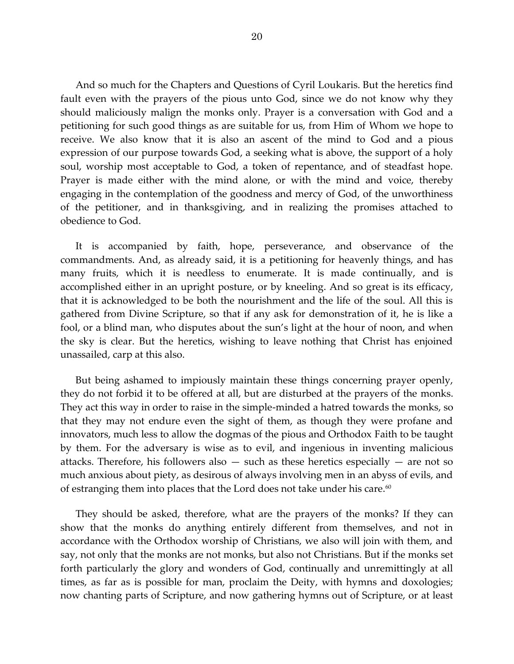And so much for the Chapters and Questions of Cyril Loukaris. But the heretics find fault even with the prayers of the pious unto God, since we do not know why they should maliciously malign the monks only. Prayer is a conversation with God and a petitioning for such good things as are suitable for us, from Him of Whom we hope to receive. We also know that it is also an ascent of the mind to God and a pious expression of our purpose towards God, a seeking what is above, the support of a holy soul, worship most acceptable to God, a token of repentance, and of steadfast hope. Prayer is made either with the mind alone, or with the mind and voice, thereby engaging in the contemplation of the goodness and mercy of God, of the unworthiness of the petitioner, and in thanksgiving, and in realizing the promises attached to obedience to God.

 It is accompanied by faith, hope, perseverance, and observance of the commandments. And, as already said, it is a petitioning for heavenly things, and has many fruits, which it is needless to enumerate. It is made continually, and is accomplished either in an upright posture, or by kneeling. And so great is its efficacy, that it is acknowledged to be both the nourishment and the life of the soul. All this is gathered from Divine Scripture, so that if any ask for demonstration of it, he is like a fool, or a blind man, who disputes about the sun's light at the hour of noon, and when the sky is clear. But the heretics, wishing to leave nothing that Christ has enjoined unassailed, carp at this also.

 But being ashamed to impiously maintain these things concerning prayer openly, they do not forbid it to be offered at all, but are disturbed at the prayers of the monks. They act this way in order to raise in the simple-minded a hatred towards the monks, so that they may not endure even the sight of them, as though they were profane and innovators, much less to allow the dogmas of the pious and Orthodox Faith to be taught by them. For the adversary is wise as to evil, and ingenious in inventing malicious attacks. Therefore, his followers also  $-$  such as these heretics especially  $-$  are not so much anxious about piety, as desirous of always involving men in an abyss of evils, and of estranging them into places that the Lord does not take under his care.<sup>60</sup>

 They should be asked, therefore, what are the prayers of the monks? If they can show that the monks do anything entirely different from themselves, and not in accordance with the Orthodox worship of Christians, we also will join with them, and say, not only that the monks are not monks, but also not Christians. But if the monks set forth particularly the glory and wonders of God, continually and unremittingly at all times, as far as is possible for man, proclaim the Deity, with hymns and doxologies; now chanting parts of Scripture, and now gathering hymns out of Scripture, or at least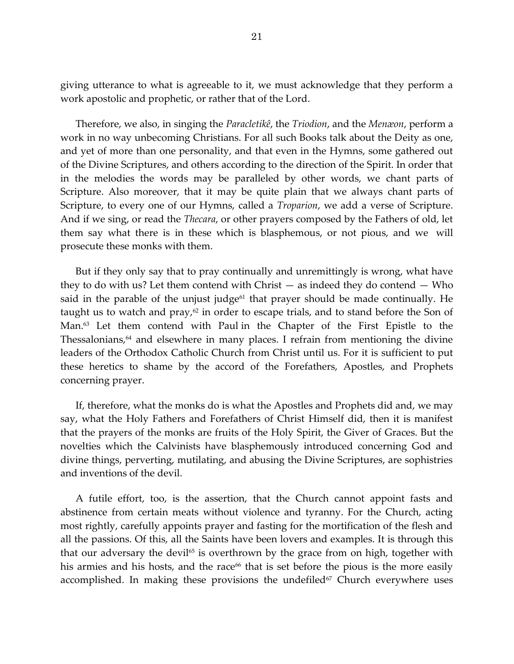giving utterance to what is agreeable to it, we must acknowledge that they perform a work apostolic and prophetic, or rather that of the Lord.

 Therefore, we also, in singing the *Paracletikê*, the *Triodion*, and the *Menæon*, perform a work in no way unbecoming Christians. For all such Books talk about the Deity as one, and yet of more than one personality, and that even in the Hymns, some gathered out of the Divine Scriptures, and others according to the direction of the Spirit. In order that in the melodies the words may be paralleled by other words, we chant parts of Scripture. Also moreover, that it may be quite plain that we always chant parts of Scripture, to every one of our Hymns, called a *Troparion*, we add a verse of Scripture. And if we sing, or read the *Thecara*, or other prayers composed by the Fathers of old, let them say what there is in these which is blasphemous, or not pious, and we will prosecute these monks with them.

 But if they only say that to pray continually and unremittingly is wrong, what have they to do with us? Let them contend with Christ — as indeed they do contend — Who said in the parable of the unjust judge<sup> $61$ </sup> that prayer should be made continually. He taught us to watch and  $\gamma$ ,<sup> $62$ </sup> in order to escape trials, and to stand before the Son of Man.<sup>63</sup> Let them contend with Paul in the Chapter of the First Epistle to the Thessalonians, <sup>64</sup> and elsewhere in many places. I refrain from mentioning the divine leaders of the Orthodox Catholic Church from Christ until us. For it is sufficient to put these heretics to shame by the accord of the Forefathers, Apostles, and Prophets concerning prayer.

 If, therefore, what the monks do is what the Apostles and Prophets did and, we may say, what the Holy Fathers and Forefathers of Christ Himself did, then it is manifest that the prayers of the monks are fruits of the Holy Spirit, the Giver of Graces. But the novelties which the Calvinists have blasphemously introduced concerning God and divine things, perverting, mutilating, and abusing the Divine Scriptures, are sophistries and inventions of the devil.

 A futile effort, too, is the assertion, that the Church cannot appoint fasts and abstinence from certain meats without violence and tyranny. For the Church, acting most rightly, carefully appoints prayer and fasting for the mortification of the flesh and all the passions. Of this, all the Saints have been lovers and examples. It is through this that our adversary the devil<sup> $65$ </sup> is overthrown by the grace from on high, together with his armies and his hosts, and the race<sup>66</sup> that is set before the pious is the more easily accomplished. In making these provisions the undefiled<sup>67</sup> Church everywhere uses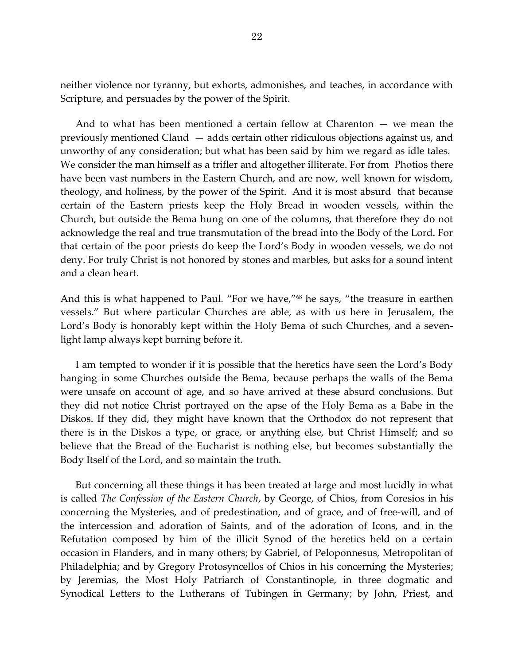neither violence nor tyranny, but exhorts, admonishes, and teaches, in accordance with Scripture, and persuades by the power of the Spirit.

 And to what has been mentioned a certain fellow at Charenton — we mean the previously mentioned Claud — adds certain other ridiculous objections against us, and unworthy of any consideration; but what has been said by him we regard as idle tales. We consider the man himself as a trifler and altogether illiterate. For from Photios there have been vast numbers in the Eastern Church, and are now, well known for wisdom, theology, and holiness, by the power of the Spirit. And it is most absurd that because certain of the Eastern priests keep the Holy Bread in wooden vessels, within the Church, but outside the Bema hung on one of the columns, that therefore they do not acknowledge the real and true transmutation of the bread into the Body of the Lord. For that certain of the poor priests do keep the Lord's Body in wooden vessels, we do not deny. For truly Christ is not honored by stones and marbles, but asks for a sound intent and a clean heart.

And this is what happened to Paul. "For we have,"<sup>68</sup> he says, "the treasure in earthen vessels." But where particular Churches are able, as with us here in Jerusalem, the Lord's Body is honorably kept within the Holy Bema of such Churches, and a sevenlight lamp always kept burning before it.

 I am tempted to wonder if it is possible that the heretics have seen the Lord's Body hanging in some Churches outside the Bema, because perhaps the walls of the Bema were unsafe on account of age, and so have arrived at these absurd conclusions. But they did not notice Christ portrayed on the apse of the Holy Bema as a Babe in the Diskos. If they did, they might have known that the Orthodox do not represent that there is in the Diskos a type, or grace, or anything else, but Christ Himself; and so believe that the Bread of the Eucharist is nothing else, but becomes substantially the Body Itself of the Lord, and so maintain the truth.

 But concerning all these things it has been treated at large and most lucidly in what is called *The Confession of the Eastern Church*, by George, of Chios, from Coresios in his concerning the Mysteries, and of predestination, and of grace, and of free-will, and of the intercession and adoration of Saints, and of the adoration of Icons, and in the Refutation composed by him of the illicit Synod of the heretics held on a certain occasion in Flanders, and in many others; by Gabriel, of Peloponnesus, Metropolitan of Philadelphia; and by Gregory Protosyncellos of Chios in his concerning the Mysteries; by Jeremias, the Most Holy Patriarch of Constantinople, in three dogmatic and Synodical Letters to the Lutherans of Tubingen in Germany; by John, Priest, and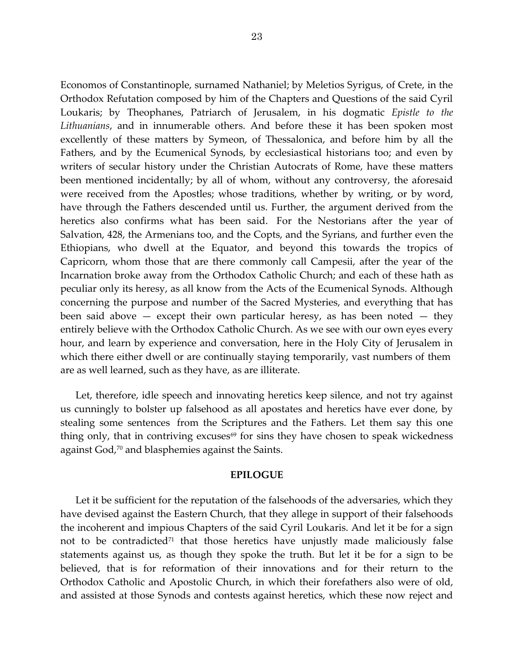Economos of Constantinople, surnamed Nathaniel; by Meletios Syrigus, of Crete, in the Orthodox Refutation composed by him of the Chapters and Questions of the said Cyril Loukaris; by Theophanes, Patriarch of Jerusalem, in his dogmatic *Epistle to the Lithuanians*, and in innumerable others. And before these it has been spoken most excellently of these matters by Symeon, of Thessalonica, and before him by all the Fathers, and by the Ecumenical Synods, by ecclesiastical historians too; and even by writers of secular history under the Christian Autocrats of Rome, have these matters been mentioned incidentally; by all of whom, without any controversy, the aforesaid were received from the Apostles; whose traditions, whether by writing, or by word, have through the Fathers descended until us. Further, the argument derived from the heretics also confirms what has been said. For the Nestorians after the year of Salvation, 428, the Armenians too, and the Copts, and the Syrians, and further even the Ethiopians, who dwell at the Equator, and beyond this towards the tropics of Capricorn, whom those that are there commonly call Campesii, after the year of the Incarnation broke away from the Orthodox Catholic Church; and each of these hath as peculiar only its heresy, as all know from the Acts of the Ecumenical Synods. Although concerning the purpose and number of the Sacred Mysteries, and everything that has been said above — except their own particular heresy, as has been noted — they entirely believe with the Orthodox Catholic Church. As we see with our own eyes every hour, and learn by experience and conversation, here in the Holy City of Jerusalem in which there either dwell or are continually staying temporarily, vast numbers of them are as well learned, such as they have, as are illiterate.

 Let, therefore, idle speech and innovating heretics keep silence, and not try against us cunningly to bolster up falsehood as all apostates and heretics have ever done, by stealing some sentences from the Scriptures and the Fathers. Let them say this one thing only, that in contriving excuses $69$  for sins they have chosen to speak wickedness against God,<sup>70</sup> and blasphemies against the Saints.

#### **EPILOGUE**

 Let it be sufficient for the reputation of the falsehoods of the adversaries, which they have devised against the Eastern Church, that they allege in support of their falsehoods the incoherent and impious Chapters of the said Cyril Loukaris. And let it be for a sign not to be contradicted<sup>71</sup> that those heretics have unjustly made maliciously false statements against us, as though they spoke the truth. But let it be for a sign to be believed, that is for reformation of their innovations and for their return to the Orthodox Catholic and Apostolic Church, in which their forefathers also were of old, and assisted at those Synods and contests against heretics, which these now reject and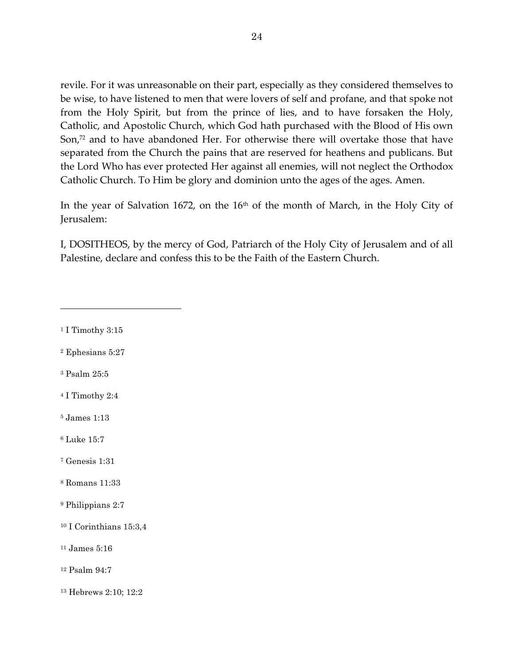revile. For it was unreasonable on their part, especially as they considered themselves to be wise, to have listened to men that were lovers of self and profane, and that spoke not from the Holy Spirit, but from the prince of lies, and to have forsaken the Holy, Catholic, and Apostolic Church, which God hath purchased with the Blood of His own Son,<sup>72</sup> and to have abandoned Her. For otherwise there will overtake those that have separated from the Church the pains that are reserved for heathens and publicans. But the Lord Who has ever protected Her against all enemies, will not neglect the Orthodox Catholic Church. To Him be glory and dominion unto the ages of the ages. Amen.

In the year of Salvation 1672, on the  $16<sup>th</sup>$  of the month of March, in the Holy City of Jerusalem:

I, DOSITHEOS, by the mercy of God, Patriarch of the Holy City of Jerusalem and of all Palestine, declare and confess this to be the Faith of the Eastern Church.

l

- <sup>2</sup> Ephesians 5:27
- <sup>3</sup> Psalm 25:5
- <sup>4</sup> I Timothy 2:4
- <sup>5</sup> James 1:13
- <sup>6</sup> Luke 15:7
- <sup>7</sup> Genesis 1:31
- <sup>8</sup> Romans 11:33
- <sup>9</sup> Philippians 2:7
- <sup>10</sup> I Corinthians 15:3,4
- <sup>11</sup> James 5:16
- <sup>12</sup> Psalm 94:7
- <sup>13</sup> Hebrews 2:10; 12:2

<sup>&</sup>lt;sup>1</sup> I Timothy 3:15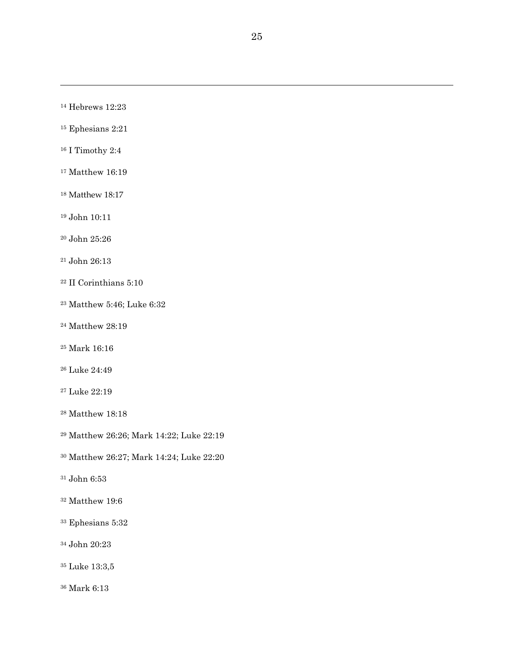Hebrews 12:23

 $\overline{a}$ 

Ephesians 2:21

 $^{16}$  I Timothy  $2{:}4$ 

 $^{\scriptstyle 17}$  Matthew 16:19

 $^{\rm 18}$  Matthew 18:17

John 10:11

 $^{\rm 20}$  John 25:26

 $^{\rm 21}$  John 26:13

II Corinthians 5:10

Matthew 5:46; Luke 6:32

 $^{\rm 24}$  Matthew  $28.19$ 

Mark 16:16

Luke 24:49

Luke 22:19

Matthew 18:18

Matthew 26:26; Mark 14:22; Luke 22:19

Matthew 26:27; Mark 14:24; Luke 22:20

John 6:53

Matthew 19:6

Ephesians 5:32

John 20:23

Luke 13:3,5

Mark 6:13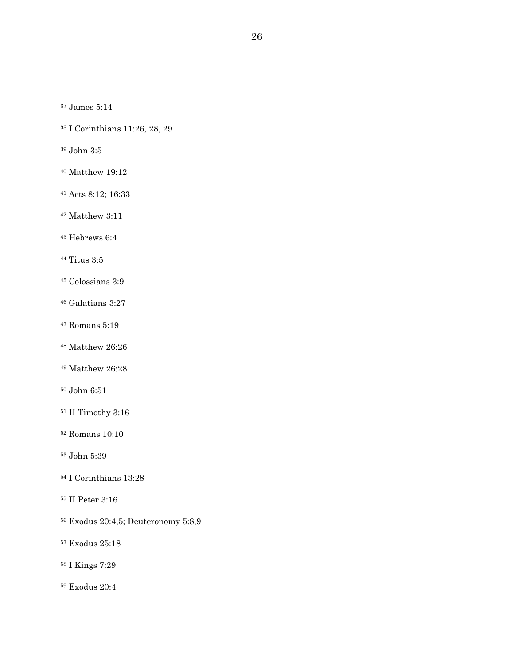<sup>37</sup> James 5:14

 $\overline{a}$ 

<sup>38</sup> I Corinthians 11:26, 28, 29

 $\rm^{39}$  John  $\rm{3:5}$ 

 $^{\rm 40}$  Matthew 19:12

<sup>41</sup> Acts 8:12; 16:33

 $^{\rm 42}$  Matthew  $3.11$ 

<sup>43</sup> Hebrews 6:4

 $\rm ^{44}$  Titus  $3.5$ 

<sup>45</sup> Colossians 3:9

 $\rm ^{46}$  Galatians  $3:27$ 

<sup>47</sup> Romans 5:19

<sup>48</sup> Matthew 26:26

 $^{\rm 49}$  Matthew  $26:28$ 

 $\rm ^{50}$  John 6:51

<sup>51</sup> II Timothy 3:16

<sup>52</sup> Romans 10:10

<sup>53</sup> John 5:39

 $\rm ^{54}$ I Corinthians $13:28$ 

<sup>55</sup> II Peter 3:16

 $^{56}$  Exodus 20:4,5; Deuteronomy  $5.8,9$ 

<sup>57</sup> Exodus 25:18

<sup>58</sup> I Kings 7:29

<sup>59</sup> Exodus 20:4